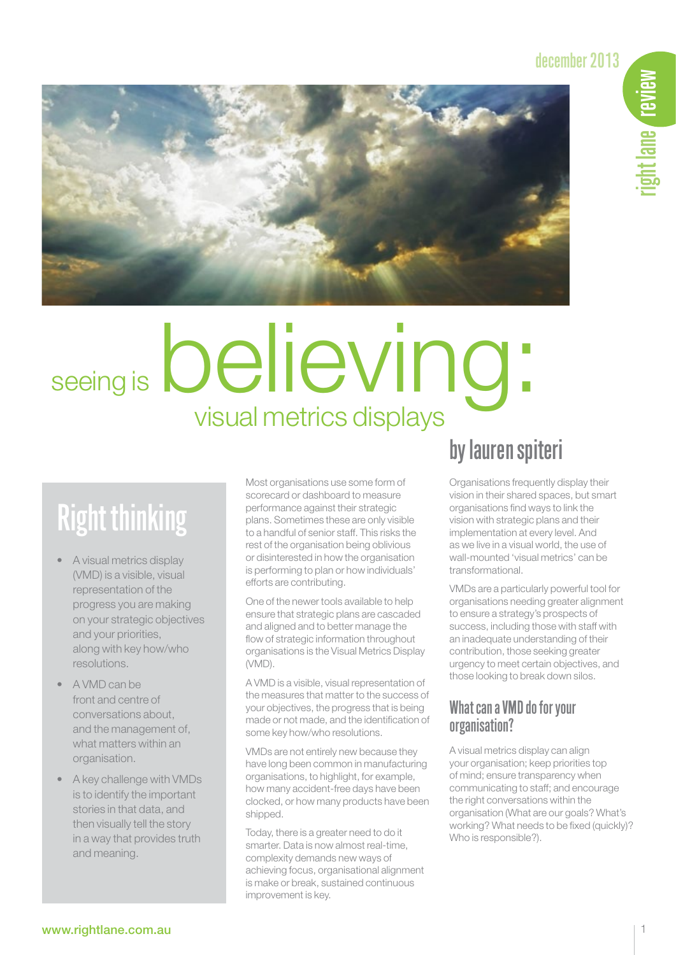# december 2013



# believing: seeing is

# Right thinking

- A visual metrics display (VMD) is a visible, visual representation of the progress you are making on your strategic objectives and your priorities, along with key how/who resolutions.
- A VMD can be front and centre of conversations about, and the management of, what matters within an organisation.
- A key challenge with VMDs is to identify the important stories in that data, and then visually tell the story in a way that provides truth and meaning.

Most organisations use some form of scorecard or dashboard to measure performance against their strategic plans. Sometimes these are only visible to a handful of senior staff. This risks the rest of the organisation being oblivious or disinterested in how the organisation is performing to plan or how individuals' efforts are contributing.

One of the newer tools available to help ensure that strategic plans are cascaded and aligned and to better manage the flow of strategic information throughout organisations is the Visual Metrics Display (VMD).

A VMD is a visible, visual representation of the measures that matter to the success of your objectives, the progress that is being made or not made, and the identification of some key how/who resolutions.

VMDs are not entirely new because they have long been common in manufacturing organisations, to highlight, for example, how many accident-free days have been clocked, or how many products have been shipped.

Today, there is a greater need to do it smarter. Data is now almost real-time, complexity demands new ways of achieving focus, organisational alignment is make or break, sustained continuous improvement is key.

# by lauren spiteri

Organisations frequently display their vision in their shared spaces, but smart organisations find ways to link the vision with strategic plans and their implementation at every level. And as we live in a visual world, the use of wall-mounted 'visual metrics' can be transformational.

VMDs are a particularly powerful tool for organisations needing greater alignment to ensure a strategy's prospects of success, including those with staff with an inadequate understanding of their contribution, those seeking greater urgency to meet certain objectives, and those looking to break down silos.

## What can a VMD do for your organisation?

A visual metrics display can align your organisation; keep priorities top of mind; ensure transparency when communicating to staff; and encourage the right conversations within the organisation (What are our goals? What's working? What needs to be fixed (quickly)? Who is responsible?).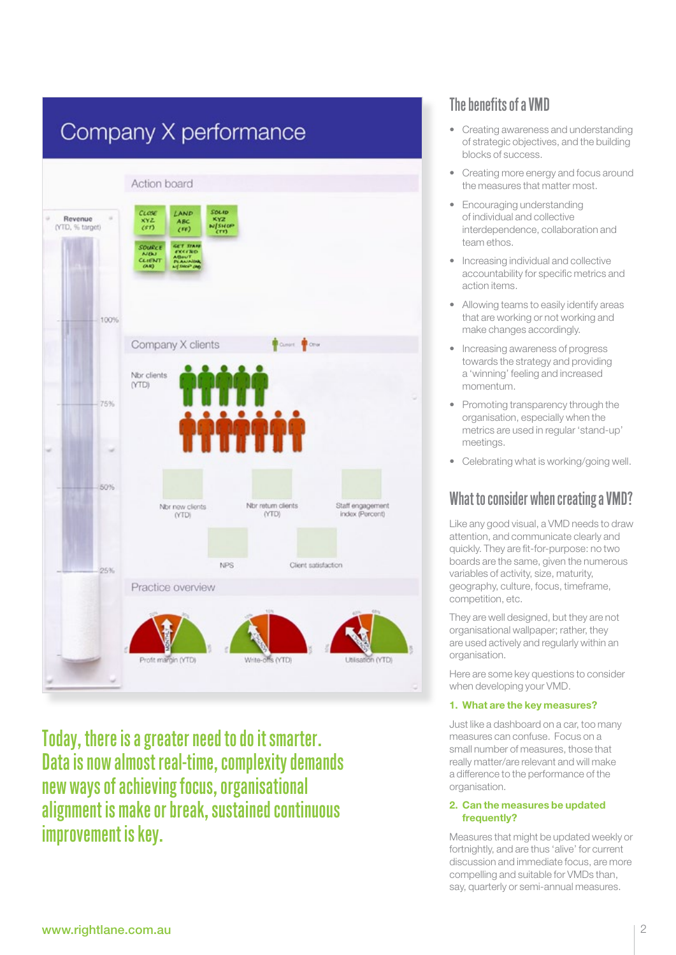

Today, there is a greater need to do it smarter. Data is now almost real-time, complexity demands new ways of achieving focus, organisational alignment is make or break, sustained continuous improvement is key.

# The benefits of a VMD

- • Creating awareness and understanding of strategic objectives, and the building blocks of success.
- Creating more energy and focus around the measures that matter most.
- Encouraging understanding of individual and collective interdependence, collaboration and team ethos.
- • Increasing individual and collective accountability for specific metrics and action items.
- Allowing teams to easily identify areas that are working or not working and make changes accordingly.
- Increasing awareness of progress towards the strategy and providing a 'winning' feeling and increased momentum.
- Promoting transparency through the organisation, especially when the metrics are used in regular 'stand-up' meetings.
- Celebrating what is working/going well.

# What to consider when creating a VMD?

Like any good visual, a VMD needs to draw attention, and communicate clearly and quickly. They are fit-for-purpose: no two boards are the same, given the numerous variables of activity, size, maturity, geography, culture, focus, timeframe, competition, etc.

They are well designed, but they are not organisational wallpaper; rather, they are used actively and regularly within an organisation.

Here are some key questions to consider when developing your VMD.

#### 1. What are the key measures?

Just like a dashboard on a car, too many measures can confuse. Focus on a small number of measures, those that really matter/are relevant and will make a difference to the performance of the organisation.

#### 2. Can the measures be updated frequently?

Measures that might be updated weekly or fortnightly, and are thus 'alive' for current discussion and immediate focus, are more compelling and suitable for VMDs than, say, quarterly or semi-annual measures.